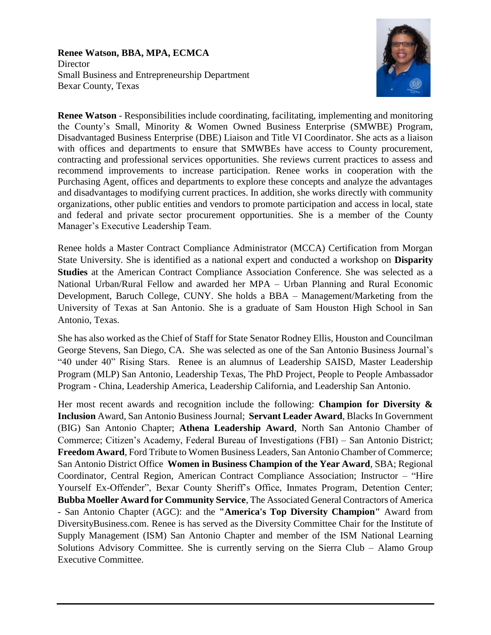#### **Renee Watson, BBA, MPA, ECMCA Director** Small Business and Entrepreneurship Department Bexar County, Texas



**Renee Watson** - Responsibilities include coordinating, facilitating, implementing and monitoring the County's Small, Minority & Women Owned Business Enterprise (SMWBE) Program, Disadvantaged Business Enterprise (DBE) Liaison and Title VI Coordinator. She acts as a liaison with offices and departments to ensure that SMWBEs have access to County procurement, contracting and professional services opportunities. She reviews current practices to assess and recommend improvements to increase participation. Renee works in cooperation with the Purchasing Agent, offices and departments to explore these concepts and analyze the advantages and disadvantages to modifying current practices. In addition, she works directly with community organizations, other public entities and vendors to promote participation and access in local, state and federal and private sector procurement opportunities. She is a member of the County Manager's Executive Leadership Team.

Renee holds a Master Contract Compliance Administrator (MCCA) Certification from Morgan State University. She is identified as a national expert and conducted a workshop on **Disparity Studies** at the American Contract Compliance Association Conference. She was selected as a National Urban/Rural Fellow and awarded her MPA – Urban Planning and Rural Economic Development, Baruch College, CUNY. She holds a BBA – Management/Marketing from the University of Texas at San Antonio. She is a graduate of Sam Houston High School in San Antonio, Texas.

She has also worked as the Chief of Staff for State Senator Rodney Ellis, Houston and Councilman George Stevens, San Diego, CA. She was selected as one of the San Antonio Business Journal's "40 under 40" Rising Stars. Renee is an alumnus of Leadership SAISD, Master Leadership Program (MLP) San Antonio, Leadership Texas, The PhD Project, People to People Ambassador Program - China, Leadership America, Leadership California, and Leadership San Antonio.

Her most recent awards and recognition include the following: **Champion for Diversity & Inclusion** Award, San Antonio Business Journal; **Servant Leader Award**, Blacks In Government (BIG) San Antonio Chapter; **Athena Leadership Award**, North San Antonio Chamber of Commerce; Citizen's Academy, Federal Bureau of Investigations (FBI) – San Antonio District; **Freedom Award**, Ford Tribute to Women Business Leaders, San Antonio Chamber of Commerce; San Antonio District Office **Women in Business Champion of the Year Award**, SBA; Regional Coordinator, Central Region, American Contract Compliance Association; Instructor – "Hire Yourself Ex-Offender", Bexar County Sheriff's Office, Inmates Program, Detention Center; **Bubba Moeller Award for Community Service**, The Associated General Contractors of America - San Antonio Chapter (AGC): and the **"America's Top Diversity Champion"** Award from DiversityBusiness.com. Renee is has served as the Diversity Committee Chair for the Institute of Supply Management (ISM) San Antonio Chapter and member of the ISM National Learning Solutions Advisory Committee. She is currently serving on the Sierra Club – Alamo Group Executive Committee.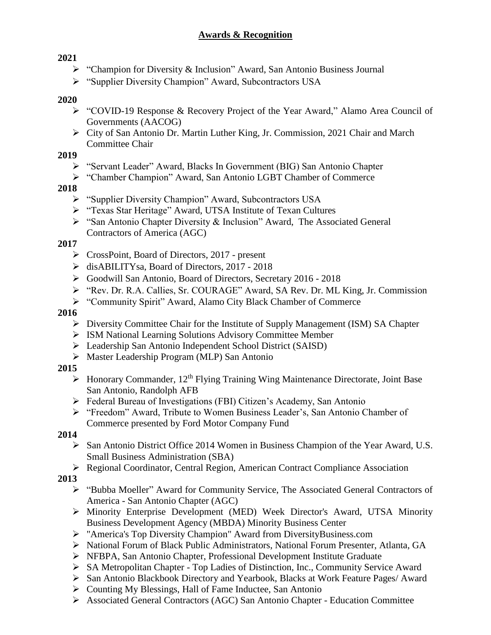## **2021**

- "Champion for Diversity & Inclusion" Award, San Antonio Business Journal
- "Supplier Diversity Champion" Award, Subcontractors USA

## **2020**

- "COVID-19 Response & Recovery Project of the Year Award," Alamo Area Council of Governments (AACOG)
- City of San Antonio Dr. Martin Luther King, Jr. Commission, 2021 Chair and March Committee Chair

## **2019**

- "Servant Leader" Award, Blacks In Government (BIG) San Antonio Chapter
- "Chamber Champion" Award, San Antonio LGBT Chamber of Commerce

## **2018**

- "Supplier Diversity Champion" Award, Subcontractors USA
- > "Texas Star Heritage" Award, UTSA Institute of Texan Cultures
- "San Antonio Chapter Diversity & Inclusion" Award, The Associated General Contractors of America (AGC)

## **2017**

- CrossPoint, Board of Directors, 2017 present
- disABILITYsa, Board of Directors, 2017 2018
- Goodwill San Antonio, Board of Directors, Secretary 2016 2018
- "Rev. Dr. R.A. Callies, Sr. COURAGE" Award, SA Rev. Dr. ML King, Jr. Commission
- "Community Spirit" Award, Alamo City Black Chamber of Commerce

## **2016**

- $\triangleright$  Diversity Committee Chair for the Institute of Supply Management (ISM) SA Chapter
- ISM National Learning Solutions Advisory Committee Member
- Leadership San Antonio Independent School District (SAISD)
- Master Leadership Program (MLP) San Antonio

## **2015**

- $\triangleright$  Honorary Commander, 12<sup>th</sup> Flying Training Wing Maintenance Directorate, Joint Base San Antonio, Randolph AFB
- Federal Bureau of Investigations (FBI) Citizen's Academy, San Antonio
- "Freedom" Award, Tribute to Women Business Leader's, San Antonio Chamber of Commerce presented by Ford Motor Company Fund

## **2014**

- San Antonio District Office 2014 Women in Business Champion of the Year Award, U.S. Small Business Administration (SBA)
- Regional Coordinator, Central Region, American Contract Compliance Association

# **2013**

- "Bubba Moeller" Award for Community Service, The Associated General Contractors of America - San Antonio Chapter (AGC)
- Minority Enterprise Development (MED) Week Director's Award, UTSA Minority Business Development Agency (MBDA) Minority Business Center
- ["America's Top Diversity Champion" Award](http://www.diversitybusiness.com/news/supplierdiversity/45201338.asp) from DiversityBusiness.com
- National Forum of Black Public Administrators, National Forum Presenter, Atlanta, GA
- NFBPA, San Antonio Chapter, Professional Development Institute Graduate
- SA Metropolitan Chapter Top Ladies of Distinction, Inc., Community Service Award
- San Antonio Blackbook Directory and Yearbook, Blacks at Work Feature Pages/ Award
- $\triangleright$  Counting My Blessings, Hall of Fame Inductee, San Antonio
- Associated General Contractors (AGC) San Antonio Chapter Education Committee